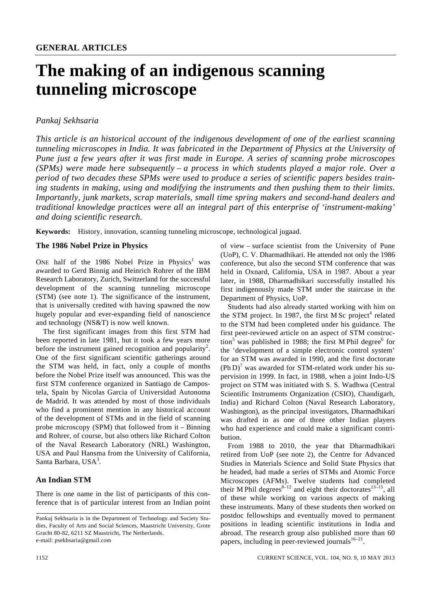# **The making of an indigenous scanning tunneling microscope**

# *Pankaj Sekhsaria*

*This article is an historical account of the indigenous development of one of the earliest scanning tunneling microscopes in India. It was fabricated in the Department of Physics at the University of Pune just a few years after it was first made in Europe. A series of scanning probe microscopes (SPMs) were made here subsequently – a process in which students played a major role. Over a period of two decades these SPMs were used to produce a series of scientific papers besides training students in making, using and modifying the instruments and then pushing them to their limits. Importantly, junk markets, scrap materials, small time spring makers and second-hand dealers and traditional knowledge practices were all an integral part of this enterprise of 'instrument-making' and doing scientific research.* 

**Keywords:** History, innovation, scanning tunneling microscope, technological jugaad.

#### **The 1986 Nobel Prize in Physics**

ONE half of the 1986 Nobel Prize in Physics<sup>1</sup> was awarded to Gerd Binnig and Heinrich Rohrer of the IBM Research Laboratory, Zurich, Switzerland for the successful development of the scanning tunneling microscope (STM) (see note 1). The significance of the instrument, that is universally credited with having spawned the now hugely popular and ever-expanding field of nanoscience and technology (NS&T) is now well known.

 The first significant images from this first STM had been reported in late 1981, but it took a few years more before the instrument gained recognition and popularity<sup>2</sup>. One of the first significant scientific gatherings around the STM was held, in fact, only a couple of months before the Nobel Prize itself was announced. This was the first STM conference organized in Santiago de Campostela, Spain by Nicolas Garcia of Universidad Autonoma de Madrid. It was attended by most of those individuals who find a prominent mention in any historical account of the development of STMs and in the field of scanning probe microscopy (SPM) that followed from it – Binning and Rohrer, of course, but also others like Richard Colton of the Naval Research Laboratory (NRL) Washington, USA and Paul Hansma from the University of California, Santa Barbara, USA<sup>3</sup>.

#### **An Indian STM**

There is one name in the list of participants of this conference that is of particular interest from an Indian point of view – surface scientist from the University of Pune (UoP), C. V. Dharmadhikari. He attended not only the 1986 conference, but also the second STM conference that was held in Oxnard, California, USA in 1987. About a year later, in 1988, Dharmadhikari successfully installed his first indigenously made STM under the staircase in the Department of Physics, UoP.

 Students had also already started working with him on the STM project. In 1987, the first M Sc project<sup>4</sup> related to the STM had been completed under his guidance. The first peer-reviewed article on an aspect of STM construction<sup>5</sup> was published in 1988; the first M Phil degree<sup>6</sup> for the 'development of a simple electronic control system' for an STM was awarded in 1990, and the first doctorate  $(Ph D)<sup>7</sup>$  was awarded for STM-related work under his supervision in 1999. In fact, in 1988, when a joint Indo-US project on STM was initiated with S. S. Wadhwa (Central Scientific Instruments Organization (CSIO), Chandigarh, India) and Richard Colton (Naval Research Laboratory, Washington), as the principal investigators, Dharmadhikari was drafted in as one of three other Indian players who had experience and could make a significant contribution.

 From 1988 to 2010, the year that Dharmadhikari retired from UoP (see note 2), the Centre for Advanced Studies in Materials Science and Solid State Physics that he headed, had made a series of STMs and Atomic Force Microscopes (AFMs). Twelve students had completed their M Phil degrees<sup>8–12</sup> and eight their doctorates<sup>13–15</sup>, all of these while working on various aspects of making these instruments. Many of these students then worked on postdoc fellowships and eventually moved to permanent positions in leading scientific institutions in India and abroad. The research group also published more than 60 papers, including in peer-reviewed journals $16-21$ .

Pankaj Sekhsaria is in the Department of Technology and Society Studies, Faculty of Arts and Social Sciences, Maastricht University, Grote Gracht 80-82, 6211 SZ Maastricht, The Netherlands. e-mail: psekhsaria@gmail.com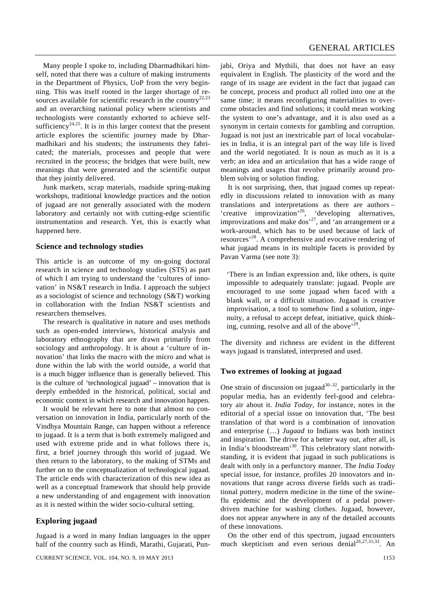Many people I spoke to, including Dharmadhikari himself, noted that there was a culture of making instruments in the Department of Physics, UoP from the very beginning. This was itself rooted in the larger shortage of resources available for scientific research in the country<sup>22,23</sup> and an overarching national policy where scientists and technologists were constantly exhorted to achieve selfsufficiency<sup>24,25</sup>. It is in this larger context that the present article explores the scientific journey made by Dharmadhikari and his students; the instruments they fabricated; the materials, processes and people that were recruited in the process; the bridges that were built, new meanings that were generated and the scientific output that they jointly delivered.

 Junk markets, scrap materials, roadside spring-making workshops, traditional knowledge practices and the notion of jugaad are not generally associated with the modern laboratory and certainly not with cutting-edge scientific instrumentation and research. Yet, this is exactly what happened here.

#### **Science and technology studies**

This article is an outcome of my on-going doctoral research in science and technology studies (STS) as part of which I am trying to understand the 'cultures of innovation' in NS&T research in India. I approach the subject as a sociologist of science and technology (S&T) working in collaboration with the Indian NS&T scientists and researchers themselves.

 The research is qualitative in nature and uses methods such as open-ended interviews, historical analysis and laboratory ethnography that are drawn primarily from sociology and anthropology. It is about a 'culture of innovation' that links the macro with the micro and what is done within the lab with the world outside, a world that is a much bigger influence than is generally believed. This is the culture of 'technological jugaad' – innovation that is deeply embedded in the historical, political, social and economic context in which research and innovation happen.

 It would be relevant here to note that almost no conversation on innovation in India, particularly north of the Vindhya Mountain Range, can happen without a reference to jugaad. It is a term that is both extremely maligned and used with extreme pride and in what follows there is, first, a brief journey through this world of jugaad. We then return to the laboratory, to the making of STMs and further on to the conceptualization of technological jugaad. The article ends with characterization of this new idea as well as a conceptual framework that should help provide a new understanding of and engagement with innovation as it is nested within the wider socio-cultural setting.

#### **Exploring jugaad**

Jugaad is a word in many Indian languages in the upper half of the country such as Hindi, Marathi, Gujarati, Pun-

CURRENT SCIENCE, VOL. 104, NO. 9, 10 MAY 2013 1153

jabi, Oriya and Mythili, that does not have an easy equivalent in English. The plasticity of the word and the range of its usage are evident in the fact that jugaad can be concept, process and product all rolled into one at the same time; it means reconfiguring materialities to overcome obstacles and find solutions; it could mean working the system to one's advantage, and it is also used as a synonym in certain contexts for gambling and corruption. Jugaad is not just an inextricable part of local vocabularies in India, it is an integral part of the way life is lived and the world negotiated. It is noun as much as it is a verb; an idea and an articulation that has a wide range of meanings and usages that revolve primarily around problem solving or solution finding.

 It is not surprising, then, that jugaad comes up repeatedly in discussions related to innovation with as many translations and interpretations as there are authors – 'creative improvization'26, 'developing alternatives, improvizations and make dos<sup> $27$ </sup>, and 'an arrangement or a work-around, which has to be used because of lack of resources'28. A comprehensive and evocative rendering of what jugaad means in its multiple facets is provided by Pavan Varma (see note 3):

'There is an Indian expression and, like others, is quite impossible to adequately translate: jugaad. People are encouraged to use some jugaad when faced with a blank wall, or a difficult situation. Jugaad is creative improvisation, a tool to somehow find a solution, ingenuity, a refusal to accept defeat, initiative, quick thinking, cunning, resolve and all of the above<sup>'29</sup>.

The diversity and richness are evident in the different ways jugaad is translated, interpreted and used.

#### **Two extremes of looking at jugaad**

One strain of discussion on jugaad<sup>30–32</sup>, particularly in the popular media, has an evidently feel-good and celebratory air about it. *India Today*, for instance, notes in the editorial of a special issue on innovation that, 'The best translation of that word is a combination of innovation and enterprise (…) *Jugaad* to Indians was both instinct and inspiration. The drive for a better way out, after all, is in India's bloodstream'30. This celebratory slant notwithstanding, it is evident that jugaad in such publications is dealt with only in a perfunctory manner. The *India Today*  special issue, for instance, profiles 20 innovators and innovations that range across diverse fields such as traditional pottery, modern medicine in the time of the swineflu epidemic and the development of a pedal powerdriven machine for washing clothes. Jugaad, however, does not appear anywhere in any of the detailed accounts of these innovations.

 On the other end of this spectrum, jugaad encounters much skepticism and even serious denial<sup>26,27,31,33</sup>. An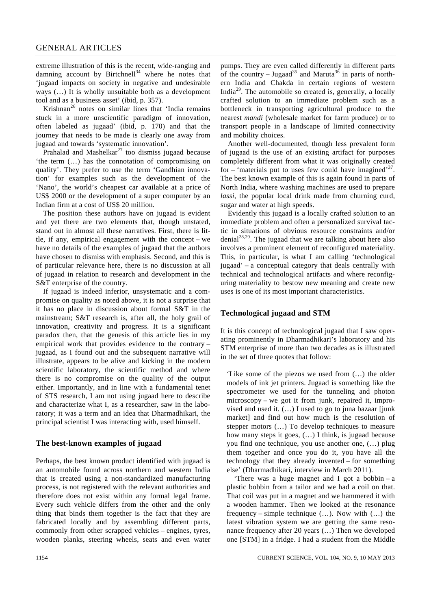extreme illustration of this is the recent, wide-ranging and damning account by Birtchnell $34$  where he notes that 'jugaad impacts on society in negative and undesirable ways (…) It is wholly unsuitable both as a development tool and as a business asset' (ibid, p. 357).

Krishnan<sup>26</sup> notes on similar lines that 'India remains stuck in a more unscientific paradigm of innovation, often labeled as jugaad' (ibid, p. 170) and that the journey that needs to be made is clearly one away from jugaad and towards 'systematic innovation'.

Prahalad and Mashelkar<sup>27</sup> too dismiss jugaad because 'the term (…) has the connotation of compromising on quality'. They prefer to use the term 'Gandhian innovation' for examples such as the development of the 'Nano', the world's cheapest car available at a price of US\$ 2000 or the development of a super computer by an Indian firm at a cost of US\$ 20 million.

 The position these authors have on jugaad is evident and yet there are two elements that, though unstated, stand out in almost all these narratives. First, there is little, if any, empirical engagement with the concept – we have no details of the examples of jugaad that the authors have chosen to dismiss with emphasis. Second, and this is of particular relevance here, there is no discussion at all of jugaad in relation to research and development in the S&T enterprise of the country.

 If jugaad is indeed inferior, unsystematic and a compromise on quality as noted above, it is not a surprise that it has no place in discussion about formal S&T in the mainstream; S&T research is, after all, the holy grail of innovation, creativity and progress. It is a significant paradox then, that the genesis of this article lies in my empirical work that provides evidence to the contrary – jugaad, as I found out and the subsequent narrative will illustrate, appears to be alive and kicking in the modern scientific laboratory, the scientific method and where there is no compromise on the quality of the output either. Importantly, and in line with a fundamental tenet of STS research, I am not using jugaad here to describe and characterize what I, as a researcher, saw in the laboratory; it was a term and an idea that Dharmadhikari, the principal scientist I was interacting with, used himself.

#### **The best-known examples of jugaad**

Perhaps, the best known product identified with jugaad is an automobile found across northern and western India that is created using a non-standardized manufacturing process, is not registered with the relevant authorities and therefore does not exist within any formal legal frame. Every such vehicle differs from the other and the only thing that binds them together is the fact that they are fabricated locally and by assembling different parts, commonly from other scrapped vehicles – engines, tyres, wooden planks, steering wheels, seats and even water pumps. They are even called differently in different parts of the country – Jugaad<sup>35</sup> and Maruta<sup>36</sup> in parts of northern India and Chakda in certain regions of western India29. The automobile so created is, generally, a locally crafted solution to an immediate problem such as a bottleneck in transporting agricultural produce to the nearest *mandi* (wholesale market for farm produce) or to transport people in a landscape of limited connectivity and mobility choices.

 Another well-documented, though less prevalent form of jugaad is the use of an existing artifact for purposes completely different from what it was originally created for – 'materials put to uses few could have imagined'<sup>37</sup>. The best known example of this is again found in parts of North India, where washing machines are used to prepare *lassi*, the popular local drink made from churning curd, sugar and water at high speeds.

 Evidently this jugaad is a locally crafted solution to an immediate problem and often a personalized survival tactic in situations of obvious resource constraints and/or  $denial<sup>28,29</sup>$ . The jugaad that we are talking about here also involves a prominent element of reconfigured materiality. This, in particular, is what I am calling 'technological jugaad' – a conceptual category that deals centrally with technical and technological artifacts and where reconfiguring materiality to bestow new meaning and create new uses is one of its most important characteristics.

#### **Technological jugaad and STM**

It is this concept of technological jugaad that I saw operating prominently in Dharmadhikari's laboratory and his STM enterprise of more than two decades as is illustrated in the set of three quotes that follow:

'Like some of the piezos we used from (…) the older models of ink jet printers. Jugaad is something like the spectrometer we used for the tunneling and photon microscopy – we got it from junk, repaired it, improvised and used it.  $($ ...) I used to go to juna bazaar [junk] market] and find out how much is the resolution of stepper motors (…) To develop techniques to measure how many steps it goes, (…) I think, is jugaad because you find one technique, you use another one, (…) plug them together and once you do it, you have all the technology that they already invented – for something else' (Dharmadhikari, interview in March 2011).

 'There was a huge magnet and I got a bobbin – a plastic bobbin from a tailor and we had a coil on that. That coil was put in a magnet and we hammered it with a wooden hammer. Then we looked at the resonance frequency – simple technique (…). Now with (…) the latest vibration system we are getting the same resonance frequency after 20 years (…) Then we developed one [STM] in a fridge. I had a student from the Middle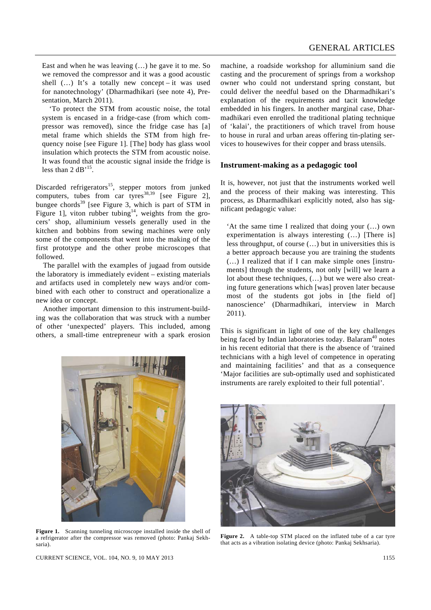East and when he was leaving (…) he gave it to me. So we removed the compressor and it was a good acoustic shell  $(...)$  It's a totally new concept – it was used for nanotechnology' (Dharmadhikari (see note 4), Presentation, March 2011).

 'To protect the STM from acoustic noise, the total system is encased in a fridge-case (from which compressor was removed), since the fridge case has [a] metal frame which shields the STM from high frequency noise [see Figure 1]. [The] body has glass wool insulation which protects the STM from acoustic noise. It was found that the acoustic signal inside the fridge is less than 2  $dB<sup>15</sup>$ .

Discarded refrigerators<sup>15</sup>, stepper motors from junked computers, tubes from car tyres<sup>38,39</sup> [see Figure 2], bungee chords<sup>39</sup> [see Figure 3, which is part of STM in Figure 1], viton rubber tubing<sup>14</sup>, weights from the grocers' shop, alluminium vessels generally used in the kitchen and bobbins from sewing machines were only some of the components that went into the making of the first prototype and the other probe microscopes that followed.

 The parallel with the examples of jugaad from outside the laboratory is immediately evident – existing materials and artifacts used in completely new ways and/or combined with each other to construct and operationalize a new idea or concept.

 Another important dimension to this instrument-building was the collaboration that was struck with a number of other 'unexpected' players. This included, among others, a small-time entrepreneur with a spark erosion



**Figure 1.** Scanning tunneling microscope installed inside the shell of a refrigerator after the compressor was removed (photo: Pankaj Sekhsaria).

machine, a roadside workshop for alluminium sand die casting and the procurement of springs from a workshop owner who could not understand spring constant, but could deliver the needful based on the Dharmadhikari's explanation of the requirements and tacit knowledge embedded in his fingers. In another marginal case, Dharmadhikari even enrolled the traditional plating technique of 'kalai', the practitioners of which travel from house to house in rural and urban areas offering tin-plating services to housewives for their copper and brass utensils.

#### **Instrument-making as a pedagogic tool**

It is, however, not just that the instruments worked well and the process of their making was interesting. This process, as Dharmadhikari explicitly noted, also has significant pedagogic value:

'At the same time I realized that doing your (…) own experimentation is always interesting (…) [There is] less throughput, of course (…) but in universities this is a better approach because you are training the students (…) I realized that if I can make simple ones [instruments] through the students, not only [will] we learn a lot about these techniques, (…) but we were also creating future generations which [was] proven later because most of the students got jobs in [the field of] nanoscience' (Dharmadhikari, interview in March 2011).

This is significant in light of one of the key challenges being faced by Indian laboratories today. Balaram<sup>40</sup> notes in his recent editorial that there is the absence of 'trained technicians with a high level of competence in operating and maintaining facilities' and that as a consequence 'Major facilities are sub-optimally used and sophisticated instruments are rarely exploited to their full potential'.



**Figure 2.** A table-top STM placed on the inflated tube of a car tyre that acts as a vibration isolating device (photo: Pankaj Sekhsaria).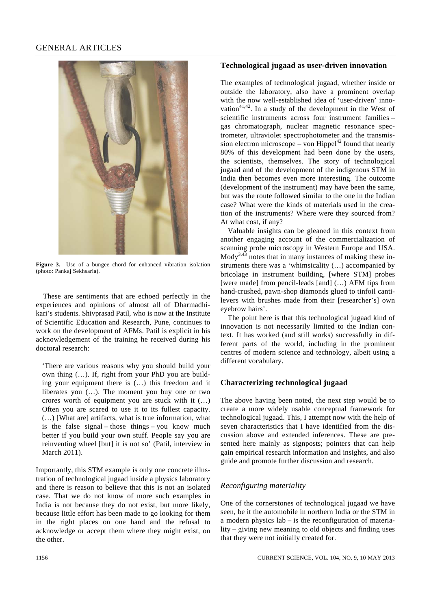# GENERAL ARTICLES



**Figure 3.** Use of a bungee chord for enhanced vibration isolation (photo: Pankaj Sekhsaria).

 These are sentiments that are echoed perfectly in the experiences and opinions of almost all of Dharmadhikari's students. Shivprasad Patil, who is now at the Institute of Scientific Education and Research, Pune, continues to work on the development of AFMs. Patil is explicit in his acknowledgement of the training he received during his doctoral research:

'There are various reasons why you should build your own thing (…). If, right from your PhD you are building your equipment there is (…) this freedom and it liberates you (…). The moment you buy one or two crores worth of equipment you are stuck with it (…) Often you are scared to use it to its fullest capacity. (…) [What are] artifacts, what is true information, what is the false signal – those things – you know much better if you build your own stuff. People say you are reinventing wheel [but] it is not so' (Patil, interview in March 2011).

Importantly, this STM example is only one concrete illustration of technological jugaad inside a physics laboratory and there is reason to believe that this is not an isolated case. That we do not know of more such examples in India is not because they do not exist, but more likely, because little effort has been made to go looking for them in the right places on one hand and the refusal to acknowledge or accept them where they might exist, on the other.

# **Technological jugaad as user-driven innovation**

The examples of technological jugaad, whether inside or outside the laboratory, also have a prominent overlap with the now well-established idea of 'user-driven' innovation $41,42$ . In a study of the development in the West of scientific instruments across four instrument families – gas chromatograph, nuclear magnetic resonance spectrometer, ultraviolet spectrophotometer and the transmission electron microscope – von Hippel<sup>42</sup> found that nearly 80% of this development had been done by the users, the scientists, themselves. The story of technological jugaad and of the development of the indigenous STM in India then becomes even more interesting. The outcome (development of the instrument) may have been the same, but was the route followed similar to the one in the Indian case? What were the kinds of materials used in the creation of the instruments? Where were they sourced from? At what cost, if any?

 Valuable insights can be gleaned in this context from another engaging account of the commercialization of scanning probe microscopy in Western Europe and USA.  $Mody<sup>3,43</sup>$  notes that in many instances of making these instruments there was a 'whimsicality (…) accompanied by bricolage in instrument building, [where STM] probes [were made] from pencil-leads [and]  $(...)$  AFM tips from hand-crushed, pawn-shop diamonds glued to tinfoil cantilevers with brushes made from their [researcher's] own eyebrow hairs'.

 The point here is that this technological jugaad kind of innovation is not necessarily limited to the Indian context. It has worked (and still works) successfully in different parts of the world, including in the prominent centres of modern science and technology, albeit using a different vocabulary.

#### **Characterizing technological jugaad**

The above having been noted, the next step would be to create a more widely usable conceptual framework for technological jugaad. This, I attempt now with the help of seven characteristics that I have identified from the discussion above and extended inferences. These are presented here mainly as signposts; pointers that can help gain empirical research information and insights, and also guide and promote further discussion and research.

#### *Reconfiguring materiality*

One of the cornerstones of technological jugaad we have seen, be it the automobile in northern India or the STM in a modern physics lab – is the reconfiguration of materiality – giving new meaning to old objects and finding uses that they were not initially created for.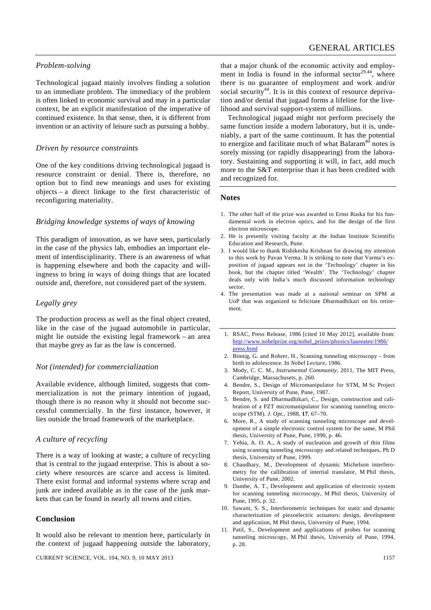# *Problem-solving*

Technological jugaad mainly involves finding a solution to an immediate problem. The immediacy of the problem is often linked to economic survival and may in a particular context, be an explicit manifestation of the imperative of continued existence. In that sense, then, it is different from invention or an activity of leisure such as pursuing a hobby.

## *Driven by resource constraints*

One of the key conditions driving technological jugaad is resource constraint or denial. There is, therefore, no option but to find new meanings and uses for existing objects – a direct linkage to the first characteristic of reconfiguring materiality.

# *Bridging knowledge systems of ways of knowing*

This paradigm of innovation, as we have seen, particularly in the case of the physics lab, embodies an important element of interdisciplinarity. There is an awareness of what is happening elsewhere and both the capacity and willingness to bring in ways of doing things that are located outside and, therefore, not considered part of the system.

# *Legally grey*

The production process as well as the final object created, like in the case of the jugaad automobile in particular, might lie outside the existing legal framework – an area that maybe grey as far as the law is concerned.

#### *Not (intended) for commercialization*

Available evidence, although limited, suggests that commercialization is not the primary intention of jugaad, though there is no reason why it should not become successful commercially. In the first instance, however, it lies outside the broad framework of the marketplace.

#### *A culture of recycling*

There is a way of looking at waste; a culture of recycling that is central to the jugaad enterprise. This is about a society where resources are scarce and access is limited. There exist formal and informal systems where scrap and junk are indeed available as in the case of the junk markets that can be found in nearly all towns and cities.

#### **Conclusion**

It would also be relevant to mention here, particularly in the context of jugaad happening outside the laboratory,

CURRENT SCIENCE, VOL. 104, NO. 9, 10 MAY 2013 1157

that a major chunk of the economic activity and employment in India is found in the informal sector<sup>29,44</sup>, where there is no guarantee of employment and work and/or social security<sup>44</sup>. It is in this context of resource deprivation and/or denial that jugaad forms a lifeline for the livelihood and survival support-system of millions.

 Technological jugaad might not perform precisely the same function inside a modern laboratory, but it is, undeniably, a part of the same continuum. It has the potential to energize and facilitate much of what Balaram<sup>40</sup> notes is sorely missing (or rapidly disappearing) from the laboratory. Sustaining and supporting it will, in fact, add much more to the S&T enterprise than it has been credited with and recognized for.

#### **Notes**

- 1. The other half of the prize was awarded to Ernst Ruska for his fundamental work in electron optics, and for the design of the first electron microscope.
- 2. He is presently visiting faculty at the Indian Institute Scientific Education and Research, Pune.
- 3. I would like to thank Rishikesha Krishnan for drawing my attention to this work by Pavan Verma. It is striking to note that Varma's exposition of jugaad appears not in the 'Technology' chapter in his book, but the chapter titled 'Wealth'. The 'Technology' chapter deals only with India's much discussed information technology sector.
- 4. The presentation was made at a national seminar on SPM at UoP that was organized to felicitate Dharmadhikari on his retirement.
- 1. RSAC, Press Release, 1986 [cited 10 May 2012], available from: http://www.nobelprize.org/nobel\_prizes/physics/laureates/1986/ press.html
- 2. Binnig, G. and Rohrer, H., Scanning tunneling microscopy from birth to adolescence. In *Nobel Lecture*, 1986.
- 3. Mody, C. C. M., *Instrumental Community*, 2011, The MIT Press, Cambridge, Massachusets, p. 260.
- 4. Bendre, S., Design of Micromanipulator for STM, M Sc Project Report, University of Pune, Pune, 1987.
- 5. Bendre, S. and Dharmadhikari, C., Design, construction and calibration of a PZT micromanipulator for scanning tunneling microscope (STM). *J. Opt.*, 1988, **17**, 67–70.
- 6. More, R., A study of scanning tunneling microscope and development of a simple electronic control system for the same, M Phil thesis, University of Pune, Pune, 1990, p. 46.
- 7. Yehia, A. O. A., A study of nucleation and growth of thin films using scanning tunneling microscopy and related techniques, Ph D thesis, University of Pune, 1999.
- 8. Chaudhary, M., Development of dynamic Michelson interferometry for the callibration of intertial translator, M Phil thesis, University of Pune, 2002.
- 9. Dambe, A. T., Development and application of electronic system for scanning tunneling microscopy, M Phil thesis, University of Pune, 1995, p. 32.
- 10. Sawant, S. S., Interferometric techniques for static and dynamic characterization of piezoelectric actuators: design, development and application, M Phil thesis, University of Pune, 1994.
- 11. Patil, S., Development and applications of probes for scanning tunneling microscopy, M Phil thesis, University of Pune, 1994, p. 28.